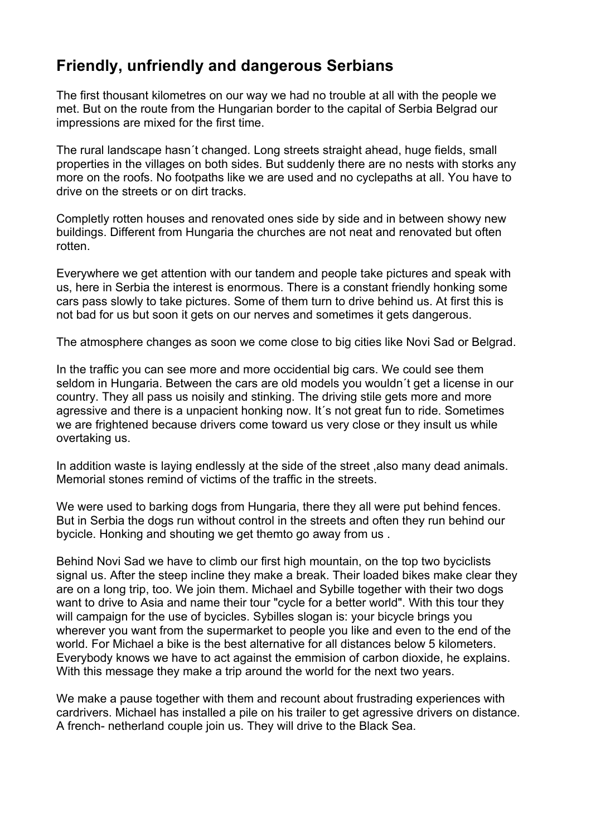## **Friendly, unfriendly and dangerous Serbians**

The first thousant kilometres on our way we had no trouble at all with the people we met. But on the route from the Hungarian border to the capital of Serbia Belgrad our impressions are mixed for the first time.

The rural landscape hasn´t changed. Long streets straight ahead, huge fields, small properties in the villages on both sides. But suddenly there are no nests with storks any more on the roofs. No footpaths like we are used and no cyclepaths at all. You have to drive on the streets or on dirt tracks.

Completly rotten houses and renovated ones side by side and in between showy new buildings. Different from Hungaria the churches are not neat and renovated but often rotten.

Everywhere we get attention with our tandem and people take pictures and speak with us, here in Serbia the interest is enormous. There is a constant friendly honking some cars pass slowly to take pictures. Some of them turn to drive behind us. At first this is not bad for us but soon it gets on our nerves and sometimes it gets dangerous.

The atmosphere changes as soon we come close to big cities like Novi Sad or Belgrad.

In the traffic you can see more and more occidential big cars. We could see them seldom in Hungaria. Between the cars are old models you wouldn´t get a license in our country. They all pass us noisily and stinking. The driving stile gets more and more agressive and there is a unpacient honking now. It´s not great fun to ride. Sometimes we are frightened because drivers come toward us very close or they insult us while overtaking us.

In addition waste is laying endlessly at the side of the street ,also many dead animals. Memorial stones remind of victims of the traffic in the streets.

We were used to barking dogs from Hungaria, there they all were put behind fences. But in Serbia the dogs run without control in the streets and often they run behind our bycicle. Honking and shouting we get themto go away from us .

Behind Novi Sad we have to climb our first high mountain, on the top two byciclists signal us. After the steep incline they make a break. Their loaded bikes make clear they are on a long trip, too. We join them. Michael and Sybille together with their two dogs want to drive to Asia and name their tour "cycle for a better world". With this tour they will campaign for the use of bycicles. Sybilles slogan is: your bicycle brings you wherever you want from the supermarket to people you like and even to the end of the world. For Michael a bike is the best alternative for all distances below 5 kilometers. Everybody knows we have to act against the emmision of carbon dioxide, he explains. With this message they make a trip around the world for the next two years.

We make a pause together with them and recount about frustrading experiences with cardrivers. Michael has installed a pile on his trailer to get agressive drivers on distance. A french- netherland couple join us. They will drive to the Black Sea.